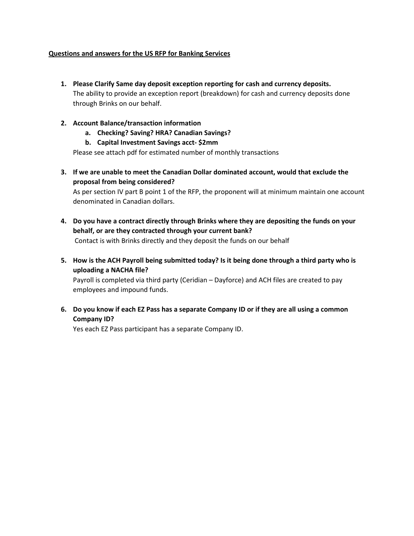## **Questions and answers for the US RFP for Banking Services**

- **1. Please Clarify Same day deposit exception reporting for cash and currency deposits.** The ability to provide an exception report (breakdown) for cash and currency deposits done through Brinks on our behalf.
- **2. Account Balance/transaction information**
	- **a. Checking? Saving? HRA? Canadian Savings?**
	- **b. Capital Investment Savings acct- \$2mm**

Please see attach pdf for estimated number of monthly transactions

**3. If we are unable to meet the Canadian Dollar dominated account, would that exclude the proposal from being considered?**

As per section IV part B point 1 of the RFP, the proponent will at minimum maintain one account denominated in Canadian dollars.

**4. Do you have a contract directly through Brinks where they are depositing the funds on your behalf, or are they contracted through your current bank?**

Contact is with Brinks directly and they deposit the funds on our behalf

**5. How is the ACH Payroll being submitted today? Is it being done through a third party who is uploading a NACHA file?**

Payroll is completed via third party (Ceridian – Dayforce) and ACH files are created to pay employees and impound funds.

**6. Do you know if each EZ Pass has a separate Company ID or if they are all using a common Company ID?**

Yes each EZ Pass participant has a separate Company ID.